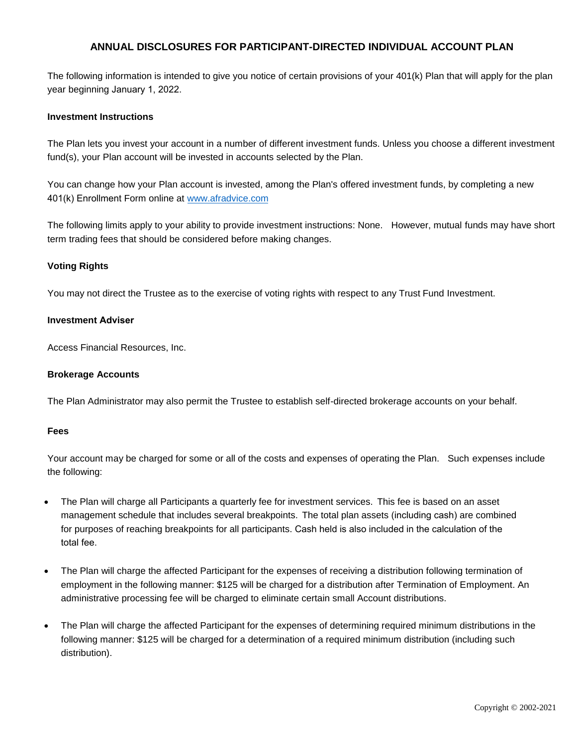# **ANNUAL DISCLOSURES FOR PARTICIPANT-DIRECTED INDIVIDUAL ACCOUNT PLAN**

The following information is intended to give you notice of certain provisions of your 401(k) Plan that will apply for the plan year beginning January 1, 2022.

## **Investment Instructions**

The Plan lets you invest your account in a number of different investment funds. Unless you choose a different investment fund(s), your Plan account will be invested in accounts selected by the Plan.

You can change how your Plan account is invested, among the Plan's offered investment funds, by completing a new 401(k) Enrollment Form online at [www.afradvice.com](http://www.afradvice.com/forms/)

The following limits apply to your ability to provide investment instructions: None. However, mutual funds may have short term trading fees that should be considered before making changes.

## **Voting Rights**

You may not direct the Trustee as to the exercise of voting rights with respect to any Trust Fund Investment.

### **Investment Adviser**

Access Financial Resources, Inc.

### **Brokerage Accounts**

The Plan Administrator may also permit the Trustee to establish self-directed brokerage accounts on your behalf.

### **Fees**

Your account may be charged for some or all of the costs and expenses of operating the Plan. Such expenses include the following:

- The Plan will charge all Participants a quarterly fee for investment services. This fee is based on an asset management schedule that includes several breakpoints. The total plan assets (including cash) are combined for purposes of reaching breakpoints for all participants. Cash held is also included in the calculation of the total fee.
- The Plan will charge the affected Participant for the expenses of receiving a distribution following termination of employment in the following manner: \$125 will be charged for a distribution after Termination of Employment. An administrative processing fee will be charged to eliminate certain small Account distributions.
- The Plan will charge the affected Participant for the expenses of determining required minimum distributions in the following manner: \$125 will be charged for a determination of a required minimum distribution (including such distribution).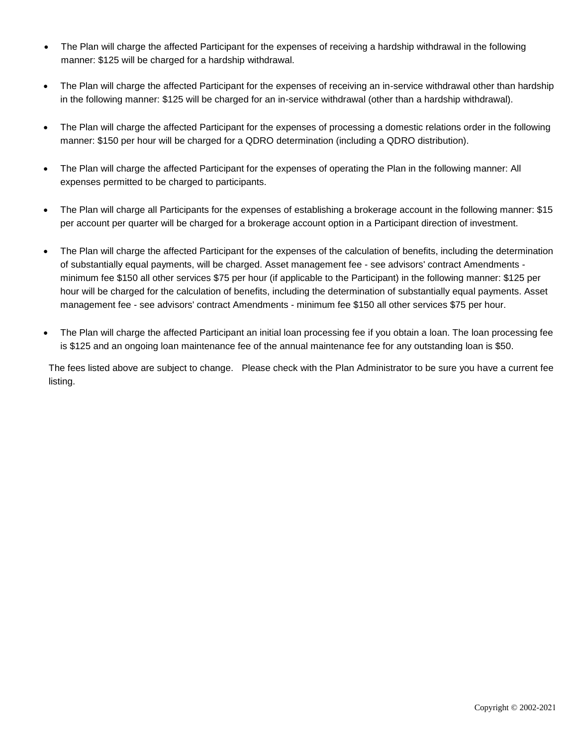- The Plan will charge the affected Participant for the expenses of receiving a hardship withdrawal in the following manner: \$125 will be charged for a hardship withdrawal.
- The Plan will charge the affected Participant for the expenses of receiving an in-service withdrawal other than hardship in the following manner: \$125 will be charged for an in-service withdrawal (other than a hardship withdrawal).
- The Plan will charge the affected Participant for the expenses of processing a domestic relations order in the following manner: \$150 per hour will be charged for a QDRO determination (including a QDRO distribution).
- The Plan will charge the affected Participant for the expenses of operating the Plan in the following manner: All expenses permitted to be charged to participants.
- The Plan will charge all Participants for the expenses of establishing a brokerage account in the following manner: \$15 per account per quarter will be charged for a brokerage account option in a Participant direction of investment.
- The Plan will charge the affected Participant for the expenses of the calculation of benefits, including the determination of substantially equal payments, will be charged. Asset management fee - see advisors' contract Amendments minimum fee \$150 all other services \$75 per hour (if applicable to the Participant) in the following manner: \$125 per hour will be charged for the calculation of benefits, including the determination of substantially equal payments. Asset management fee - see advisors' contract Amendments - minimum fee \$150 all other services \$75 per hour.
- The Plan will charge the affected Participant an initial loan processing fee if you obtain a loan. The loan processing fee is \$125 and an ongoing loan maintenance fee of the annual maintenance fee for any outstanding loan is \$50.

The fees listed above are subject to change. Please check with the Plan Administrator to be sure you have a current fee listing.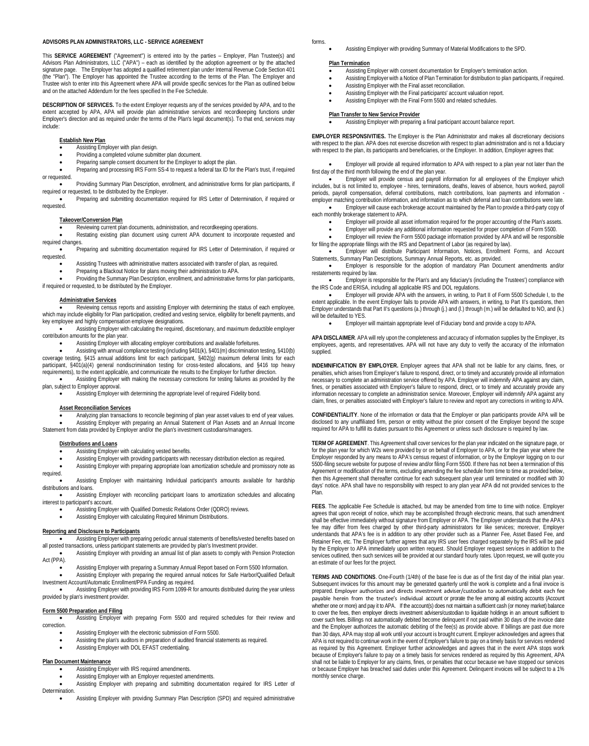#### **ADVISORS PLAN ADMINISTRATORS, LLC - SERVICE AGREEMENT**

This **SERVICE AGREEMENT** ("Agreement") is entered into by the parties – Employer, Plan Trustee(s) and Advisors Plan Administrators, LLC ("APA") – each as identified by the adoption agreement or by the attached signature page. The Employer has adopted a qualified retirement plan under Internal Revenue Code Section 401 (the "Plan"). The Employer has appointed the Trustee according to the terms of the Plan. The Employer and Trustee wish to enter into this Agreement where APA will provide specific services for the Plan as outlined below and on the attached Addendum for the fees specified In the Fee Schedule.

**DESCRIPTION OF SERVICES.** To the extent Employer requests any of the services provided by APA, and to the extent accepted by APA, APA will provide plan administrative services and recordkeeping functions under Employer's direction and as required under the terms of the Plan's legal document(s). To that end, services may include:

#### **Establish New Plan**

- Assisting Employer with plan design.
- Providing a completed volume submitter plan document.
- Preparing sample consent document for the Employer to adopt the plan.

• Preparing and processing IRS Form SS-4 to request a federal tax ID for the Plan's trust, if required or requested.

• Providing Summary Plan Description, enrollment, and administrative forms for plan participants, if required or requested, to be distributed by the Employer.

• Preparing and submitting documentation required for IRS Letter of Determination, if required or requested.

#### **Takeover/Conversion Plan**

Reviewing current plan documents, administration, and recordkeeping operations.

• Restating existing plan document using current APA document to incorporate requested and required changes.

• Preparing and submitting documentation required for IRS Letter of Determination, if required or requested.

- Assisting Trustees with administrative matters associated with transfer of plan, as required.
- Preparing a Blackout Notice for plans moving their administration to APA.

Providing the Summary Plan Description, enrollment, and administrative forms for plan participants, if required or requested, to be distributed by the Employer.

#### **Administrative Services**

• Reviewing census reports and assisting Employer with determining the status of each employee, which may include eligibility for Plan participation, credited and vesting service, eligibility for benefit payments, and key employee and highly compensation employee designations.

• Assisting Employer with calculating the required, discretionary, and maximum deductible employer contribution amounts for the plan year.

• Assisting Employer with allocating employer contributions and available forfeitures.

• Assisting with annual compliance testing (including §401(k), §401(m) discrimination testing, §410(b) coverage testing, §415 annual additions limit for each participant, §402(g) maximum deferral limits for each participant, §401(a)(4) general nondiscrimination testing for cross-tested allocations, and §416 top heavy requirements), to the extent applicable, and communicate the results to the Employer for further direction.

• Assisting Employer with making the necessary corrections for testing failures as provided by the plan, subject to Employer approval.

• Assisting Employer with determining the appropriate level of required Fidelity bond.

### **Asset Reconciliation Services**

Analyzing plan transactions to reconcile beginning of plan year asset values to end of year values. • Assisting Employer with preparing an Annual Statement of Plan Assets and an Annual Income

Statement from data provided by Employer and/or the plan's investment custodians/managers.

#### **Distributions and Loans**

Assisting Employer with calculating vested benefits.

Assisting Employer with providing participants with necessary distribution election as required.

• Assisting Employer with preparing appropriate loan amortization schedule and promissory note as required.

• Assisting Employer with maintaining Individual participant's amounts available for hardship distributions and loans.

• Assisting Employer with reconciling participant loans to amortization schedules and allocating interest to participant's account.

- Assisting Employer with Qualified Domestic Relations Order (QDRO) reviews.
- Assisting Employer with calculating Required Minimum Distributions.

### **Reporting and Disclosure to Participants**

• Assisting Employer with preparing periodic annual statements of benefits/vested benefits based on all posted transactions, unless participant statements are provided by plan's Investment provider.

• Assisting Employer with providing an annual list of plan assets to comply with Pension Protection Act (PPA).

• Assisting Employer with preparing a Summary Annual Report based on Form 5500 Information.

• Assisting Employer with preparing the required annual notices for Safe Harbor/Qualified Default Investment Account/Automatic Enrollment/PPA Funding as required.

• Assisting Employer with providing IRS Form 1099-R for amounts distributed during the year unless provided by plan's investment provider.

### **Form 5500 Preparation and Filing**

• Assisting Employer with preparing Form 5500 and required schedules for their review and correction.

- Assisting Employer with the electronic submission of Form 5500.
- Assisting the plan's auditors in preparation of audited financial statements as required.
- Assisting Employer with DOL EFAST credentialing.

### **Plan Document Maintenance**

- **A Manupelity**<br>Assisting Employer with IRS required amendments.
- Assisting Employer with an Employer requested amendments.

• Assisting Employer with preparing and submitting documentation required for IRS Letter of Determination.

• Assisting Employer with providing Summary Plan Description (SPD) and required administrative

- forms.
- Assisting Employer with providing Summary of Material Modifications to the SPD.

#### **Plan Termination**

- Assisting Employer with consent documentation for Employer's termination action.
- Assisting Employer with a Notice of Plan Termination for distribution to plan participants, if required.
- Assisting Employer with the Final asset reconciliation.
	- Assisting Employer with the Final participants' account valuation report.
	- Assisting Employer with the Final Form 5500 and related schedules.

### **Plan Transfer to New Service Provider**

• Assisting Employer with preparing a final participant account balance report.

**EMPLOYER RESPONSIVITIES.** The Employer is the Plan Administrator and makes all discretionary decisions with respect to the plan. APA does not exercise discretion with respect to plan administration and is not a fiduciary with respect to the plan, its participants and beneficiaries, or the Employer. In addition, Employer agrees that:

• Employer will provide all required information to APA with respect to a plan year not later than the first day of the third month following the end of the plan year.

**Employer will provide census and payroll information for all employees of the Employer which** includes, but is not limited to, employee - hires, terminations, deaths, leaves of absence, hours worked, payroll periods, payroll compensation, deferral contributions, match contributions, loan payments and information employer matching contribution information, and information as to which deferral and loan contributions were late.

• Employer will cause each brokerage account maintained by the Plan to provide a third-party copy of each monthly brokerage statement to APA.

- Employer will provide all asset information required for the proper accounting of the Plan's assets.
- Employer will provide any additional information requested for proper completion of Form 5500.

• Employer will review the Form 5500 package information provided by APA and will be responsible for filing the appropriate filings with the IRS and Department of Labor (as required by law).

• Employer will distribute Participant Information, Notices, Enrollment Forms, and Account Statements, Summary Plan Descriptions, Summary Annual Reports, etc. as provided.

• Employer is responsible for the adoption of mandatory Plan Document amendments and/or restatements required by law.

• Employer is responsible for the Plan's and any fiduciary's (including the Trustees') compliance with the IRS Code and ERISA, including all applicable IRS and DOL regulations.

• Employer will provide APA with the answers, in writing, to Part II of Form 5500 Schedule I, to the extent applicable. In the event Employer fails to provide APA with answers, in writing, to Part II's questions, then Employer understands that Part II's questions (a.) through (j.) and (l.) through (m.) will be defaulted to NO, and (k.) will be defaulted to YFS.

• Employer will maintain appropriate level of Fiduciary bond and provide a copy to APA.

**APA DISCLAIMER**. APA will rely upon the completeness and accuracy of information supplies by the Employer, its employees, agents, and representatives. APA will not have any duty to verify the accuracy of the information supplied.

**INDEMNIFICATION BY EMPLOYER.** Employer agrees that APA shall not be liable for any claims, fines, or penalties, which arises from Employer's failure to respond, direct, or to timely and accurately provide all information necessary to complete an administration service offered by APA. Employer will indemnify APA against any claim, fines, or penalties associated with Employer's failure to respond, direct, or to timely and accurately provide any information necessary to complete an administration service. Moreover, Employer will indemnify APA against any claim, fines, or penalties associated with Employer's failure to review and report any corrections in writing to APA.

**CONFIDENTIALITY**. None of the information or data that the Employer or plan participants provide APA will be disclosed to any unaffiliated firm, person or entity without the prior consent of the Employer beyond the scope required for APA to fulfill its duties pursuant to this Agreement or unless such disclosure is required by law.

**TERM OF AGREEMENT**. This Agreement shall cover services for the plan year indicated on the signature page, or for the plan year for which W2s were provided by or on behalf of Employer to APA, or for the plan year where the Employer responded by any means to APA's census request of information, or by the Employer logging on to our 5500-filing secure website for purpose of review and/or filing Form 5500. If there has not been a termination of this Agreement or modification of the terms, excluding amending the fee schedule from time to time as provided below,<br>then this Agreement shall thereafter continue for each subsequent plan year until terminated or modified with days' notice. APA shall have no responsibility with respect to any plan year APA did not provided services to the Plan.

**FEES**. The applicable Fee Schedule is attached, but may be amended from time to time with notice. Employer agrees that upon receipt of notice, which may be accomplished through electronic means, that such amendment shall be effective immediately without signature from Employer or APA. The Employer understands that the APA's fee may differ from fees charged by other third-party administrators for like services; moreover, Employer understands that APA's fee is in addition to any other provider such as a Planner Fee, Asset Based Fee, and Retainer Fee, etc. The Employer further agrees that any IRS user fees charged separately by the IRS will be paid by the Employer to APA immediately upon written request. Should Employer request services in addition to the services outlined, then such services will be provided at our standard hourly rates. Upon request, we will quote you an estimate of our fees for the project.

**TERMS AND CONDITIONS**. One-Fourth (1/4th) of the base fee is due as of the first day of the initial plan year. Subsequent invoices for this amount may be generated quarterly until the work is complete and a final invoice is prepared. Employer authorizes and directs investment adviser/custodian to automatically debit each fee payable herein from the trustee's individual account or prorate the fee among all existing accounts (Account whether one or more) and pay it to APA. If the account(s) does not maintain a sufficient cash (or money market) balance to cover the fees, then employer directs investment advisers/custodian to liquidate holdings in an amount sufficient to cover such fees. Billings not automatically debited become delinquent if not paid within 30 days of the invoice date and the Employer authorizes the automatic debiting of the fee(s) as provide above. If billings are past due more than 30 days, APA may stop all work until your account is brought current. Employer acknowledges and agrees that APA is not required to continue work in the event of Employer's failure to pay on a timely basis for services rendered as required by this Agreement. Employer further acknowledges and agrees that in the event APA stops work because of Employer's failure to pay on a timely basis for services rendered as required by this Agreement, APA<br>shall not be liable to Employer for any claims, fines, or penalties that occur because we have stopped our ser or because Employer has breached said duties under this Agreement. Delinquent invoices will be subject to a 1% monthly service charge.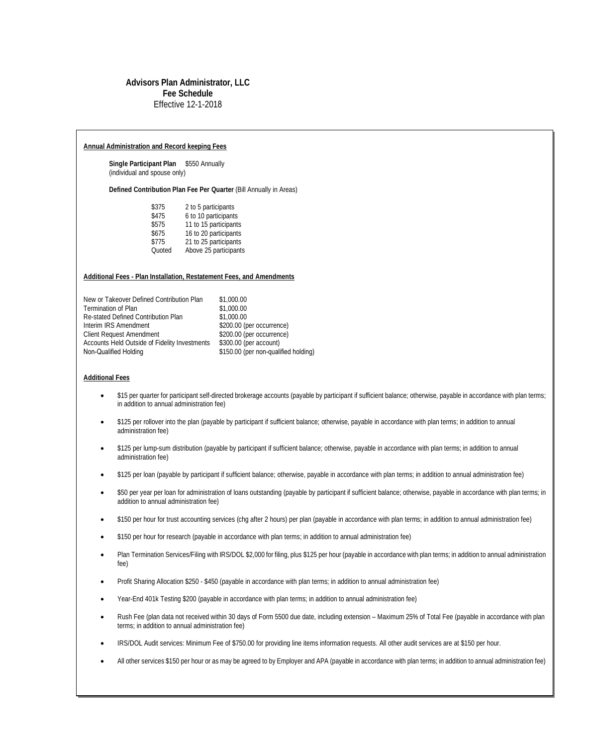### **Advisors Plan Administrator, LLC Fee Schedule**  Effective 12-1-2018

### **Annual Administration and Record keeping Fees**

**Single Participant Plan** \$550 Annually (individual and spouse only)

**Defined Contribution Plan Fee Per Quarter** (Bill Annually in Areas)

| \$375  | 2 to 5 participants   |
|--------|-----------------------|
| \$475  | 6 to 10 participants  |
| \$575  | 11 to 15 participants |
| \$675  | 16 to 20 participants |
| \$775  | 21 to 25 participants |
| Quoted | Above 25 participants |
|        |                       |

### **Additional Fees - Plan Installation, Restatement Fees, and Amendments**

| New or Takeover Defined Contribution Plan     | \$1,000.00                           |
|-----------------------------------------------|--------------------------------------|
| <b>Termination of Plan</b>                    | \$1,000.00                           |
| Re-stated Defined Contribution Plan           | \$1,000.00                           |
| Interim IRS Amendment                         | \$200.00 (per occurrence)            |
| <b>Client Request Amendment</b>               | \$200.00 (per occurrence)            |
| Accounts Held Outside of Fidelity Investments | \$300.00 (per account)               |
| Non-Qualified Holding                         | \$150.00 (per non-qualified holding) |

### **Additional Fees**

- \$15 per quarter for participant self-directed brokerage accounts (payable by participant if sufficient balance; otherwise, payable in accordance with plan terms; in addition to annual administration fee)
- \$125 per rollover into the plan (payable by participant if sufficient balance; otherwise, payable in accordance with plan terms; in addition to annual administration fee)
- \$125 per lump-sum distribution (payable by participant if sufficient balance; otherwise, payable in accordance with plan terms; in addition to annual administration fee)
- \$125 per loan (payable by participant if sufficient balance; otherwise, payable in accordance with plan terms; in addition to annual administration fee)
- \$50 per year per loan for administration of loans outstanding (payable by participant if sufficient balance; otherwise, payable in accordance with plan terms; in addition to annual administration fee)
- \$150 per hour for trust accounting services (chg after 2 hours) per plan (payable in accordance with plan terms; in addition to annual administration fee)
- \$150 per hour for research (payable in accordance with plan terms; in addition to annual administration fee)
- Plan Termination Services/Filing with IRS/DOL \$2,000 for filing, plus \$125 per hour (payable in accordance with plan terms; in addition to annual administration fee)
- Profit Sharing Allocation \$250 \$450 (payable in accordance with plan terms; in addition to annual administration fee)
- Year-End 401k Testing \$200 (payable in accordance with plan terms; in addition to annual administration fee)
- Rush Fee (plan data not received within 30 days of Form 5500 due date, including extension Maximum 25% of Total Fee (payable in accordance with plan terms; in addition to annual administration fee)
- IRS/DOL Audit services: Minimum Fee of \$750.00 for providing line items information requests. All other audit services are at \$150 per hour.
- All other services \$150 per hour or as may be agreed to by Employer and APA (payable in accordance with plan terms; in addition to annual administration fee)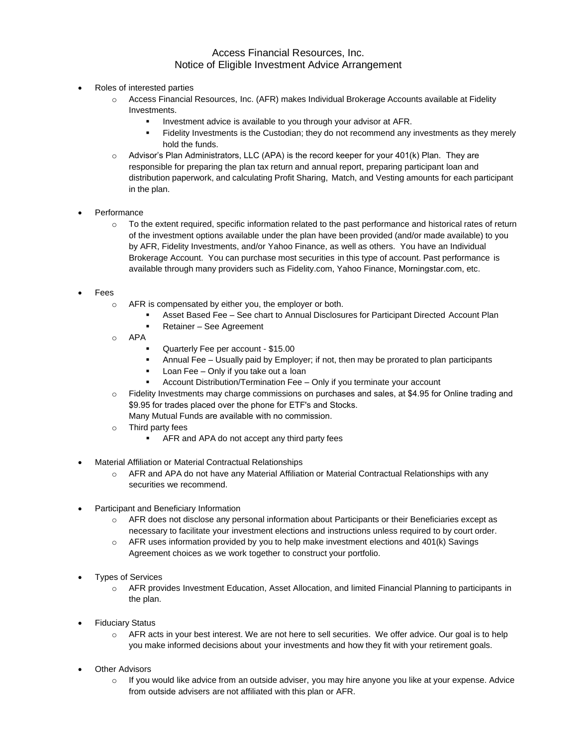# Access Financial Resources, Inc. Notice of Eligible Investment Advice Arrangement

- Roles of interested parties
	- o Access Financial Resources, Inc. (AFR) makes Individual Brokerage Accounts available at Fidelity Investments.
		- Investment advice is available to you through your advisor at AFR.
		- Fidelity Investments is the Custodian; they do not recommend any investments as they merely hold the funds.
	- $\circ$  Advisor's Plan Administrators, LLC (APA) is the record keeper for your 401(k) Plan. They are responsible for preparing the plan tax return and annual report, preparing participant loan and distribution paperwork, and calculating Profit Sharing, Match, and Vesting amounts for each participant in the plan.
- **Performance** 
	- $\circ$  To the extent required, specific information related to the past performance and historical rates of return of the investment options available under the plan have been provided (and/or made available) to you by AFR, Fidelity Investments, and/or Yahoo Finance, as well as others. You have an Individual Brokerage Account. You can purchase most securities in this type of account. Past performance is available through many providers such as Fidelity.com, Yahoo Finance, Morningstar.com, etc.
- **Fees** 
	- o AFR is compensated by either you, the employer or both.
		- **■** Asset Based Fee See chart to Annual Disclosures for Participant Directed Account Plan
		- Retainer See Agreement
	- o APA
		- Quarterly Fee per account \$15.00
		- **•** Annual Fee Usually paid by Employer; if not, then may be prorated to plan participants
		- Loan Fee Only if you take out a loan
		- Account Distribution/Termination Fee Only if you terminate your account
	- o Fidelity Investments may charge commissions on purchases and sales, at \$4.95 for Online trading and \$9.95 for trades placed over the phone for ETF's and Stocks. Many Mutual Funds are available with no commission.
	- o Third party fees
		- AFR and APA do not accept any third party fees
- Material Affiliation or Material Contractual Relationships
	- $\circ$  AFR and APA do not have any Material Affiliation or Material Contractual Relationships with any securities we recommend.
- Participant and Beneficiary Information
	- o AFR does not disclose any personal information about Participants or their Beneficiaries except as necessary to facilitate your investment elections and instructions unless required to by court order.
	- $\circ$  AFR uses information provided by you to help make investment elections and 401(k) Savings Agreement choices as we work together to construct your portfolio.
- Types of Services
	- o AFR provides Investment Education, Asset Allocation, and limited Financial Planning to participants in the plan.
- **Fiduciary Status** 
	- o AFR acts in your best interest. We are not here to sell securities. We offer advice. Our goal is to help you make informed decisions about your investments and how they fit with your retirement goals.
- **Other Advisors** 
	- $\circ$  If you would like advice from an outside adviser, you may hire anyone you like at your expense. Advice from outside advisers are not affiliated with this plan or AFR.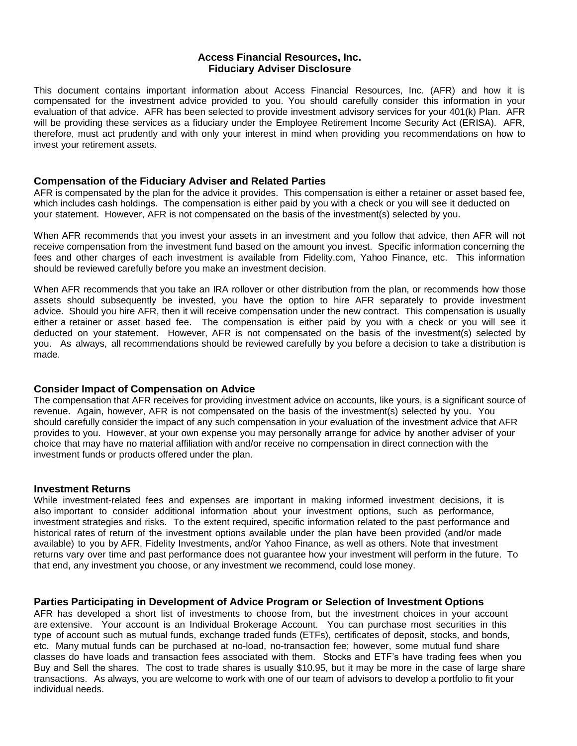## **Access Financial Resources, Inc. Fiduciary Adviser Disclosure**

This document contains important information about Access Financial Resources, Inc. (AFR) and how it is compensated for the investment advice provided to you. You should carefully consider this information in your evaluation of that advice. AFR has been selected to provide investment advisory services for your 401(k) Plan. AFR will be providing these services as a fiduciary under the Employee Retirement Income Security Act (ERISA). AFR, therefore, must act prudently and with only your interest in mind when providing you recommendations on how to invest your retirement assets.

## **Compensation of the Fiduciary Adviser and Related Parties**

AFR is compensated by the plan for the advice it provides. This compensation is either a retainer or asset based fee, which includes cash holdings. The compensation is either paid by you with a check or you will see it deducted on your statement. However, AFR is not compensated on the basis of the investment(s) selected by you.

When AFR recommends that you invest your assets in an investment and you follow that advice, then AFR will not receive compensation from the investment fund based on the amount you invest. Specific information concerning the fees and other charges of each investment is available from Fidelity.com, Yahoo Finance, etc. This information should be reviewed carefully before you make an investment decision.

When AFR recommends that you take an IRA rollover or other distribution from the plan, or recommends how those assets should subsequently be invested, you have the option to hire AFR separately to provide investment advice. Should you hire AFR, then it will receive compensation under the new contract. This compensation is usually either a retainer or asset based fee. The compensation is either paid by you with a check or you will see it deducted on your statement. However, AFR is not compensated on the basis of the investment(s) selected by you. As always, all recommendations should be reviewed carefully by you before a decision to take a distribution is made.

## **Consider Impact of Compensation on Advice**

The compensation that AFR receives for providing investment advice on accounts, like yours, is a significant source of revenue. Again, however, AFR is not compensated on the basis of the investment(s) selected by you. You should carefully consider the impact of any such compensation in your evaluation of the investment advice that AFR provides to you. However, at your own expense you may personally arrange for advice by another adviser of your choice that may have no material affiliation with and/or receive no compensation in direct connection with the investment funds or products offered under the plan.

## **Investment Returns**

While investment-related fees and expenses are important in making informed investment decisions, it is also important to consider additional information about your investment options, such as performance, investment strategies and risks. To the extent required, specific information related to the past performance and historical rates of return of the investment options available under the plan have been provided (and/or made available) to you by AFR, Fidelity Investments, and/or Yahoo Finance, as well as others. Note that investment returns vary over time and past performance does not guarantee how your investment will perform in the future. To that end, any investment you choose, or any investment we recommend, could lose money.

## **Parties Participating in Development of Advice Program or Selection of Investment Options**

AFR has developed a short list of investments to choose from, but the investment choices in your account are extensive. Your account is an Individual Brokerage Account. You can purchase most securities in this type of account such as mutual funds, exchange traded funds (ETFs), certificates of deposit, stocks, and bonds, etc. Many mutual funds can be purchased at no-load, no-transaction fee; however, some mutual fund share classes do have loads and transaction fees associated with them. Stocks and ETF's have trading fees when you Buy and Sell the shares. The cost to trade shares is usually \$10.95, but it may be more in the case of large share transactions. As always, you are welcome to work with one of our team of advisors to develop a portfolio to fit your individual needs.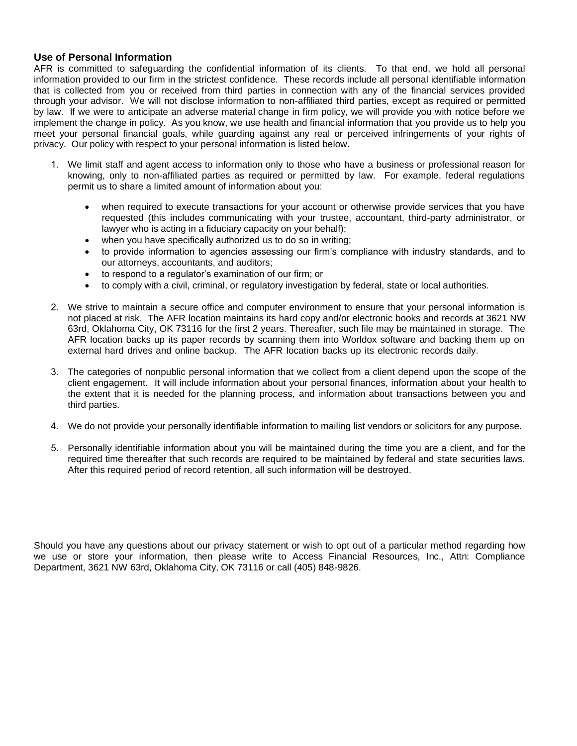# **Use of Personal Information**

AFR is committed to safeguarding the confidential information of its clients. To that end, we hold all personal information provided to our firm in the strictest confidence. These records include all personal identifiable information that is collected from you or received from third parties in connection with any of the financial services provided through your advisor. We will not disclose information to non-affiliated third parties, except as required or permitted by law. If we were to anticipate an adverse material change in firm policy, we will provide you with notice before we implement the change in policy. As you know, we use health and financial information that you provide us to help you meet your personal financial goals, while guarding against any real or perceived infringements of your rights of privacy. Our policy with respect to your personal information is listed below.

- 1. We limit staff and agent access to information only to those who have a business or professional reason for knowing, only to non-affiliated parties as required or permitted by law. For example, federal regulations permit us to share a limited amount of information about you:
	- when required to execute transactions for your account or otherwise provide services that you have requested (this includes communicating with your trustee, accountant, third-party administrator, or lawyer who is acting in a fiduciary capacity on your behalf);
	- when you have specifically authorized us to do so in writing;
	- to provide information to agencies assessing our firm's compliance with industry standards, and to our attorneys, accountants, and auditors;
	- to respond to a regulator's examination of our firm; or
	- to comply with a civil, criminal, or regulatory investigation by federal, state or local authorities.
- 2. We strive to maintain a secure office and computer environment to ensure that your personal information is not placed at risk. The AFR location maintains its hard copy and/or electronic books and records at 3621 NW 63rd, Oklahoma City, OK 73116 for the first 2 years. Thereafter, such file may be maintained in storage. The AFR location backs up its paper records by scanning them into Worldox software and backing them up on external hard drives and online backup. The AFR location backs up its electronic records daily.
- 3. The categories of nonpublic personal information that we collect from a client depend upon the scope of the client engagement. It will include information about your personal finances, information about your health to the extent that it is needed for the planning process, and information about transactions between you and third parties.
- 4. We do not provide your personally identifiable information to mailing list vendors or solicitors for any purpose.
- 5. Personally identifiable information about you will be maintained during the time you are a client, and for the required time thereafter that such records are required to be maintained by federal and state securities laws. After this required period of record retention, all such information will be destroyed.

Should you have any questions about our privacy statement or wish to opt out of a particular method regarding how we use or store your information, then please write to Access Financial Resources, Inc., Attn: Compliance Department, 3621 NW 63rd, Oklahoma City, OK 73116 or call (405) 848-9826.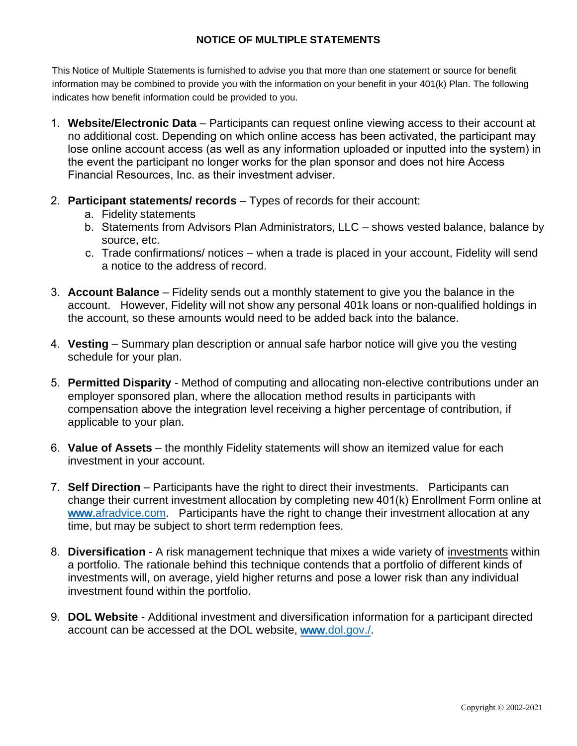# **NOTICE OF MULTIPLE STATEMENTS**

This Notice of Multiple Statements is furnished to advise you that more than one statement or source for benefit information may be combined to provide you with the information on your benefit in your 401(k) Plan. The following indicates how benefit information could be provided to you.

- 1. **Website/Electronic Data** Participants can request online viewing access to their account at no additional cost. Depending on which online access has been activated, the participant may lose online account access (as well as any information uploaded or inputted into the system) in the event the participant no longer works for the plan sponsor and does not hire Access Financial Resources, Inc. as their investment adviser.
- 2. **Participant statements/ records** Types of records for their account:
	- a. Fidelity statements
	- b. Statements from Advisors Plan Administrators, LLC shows vested balance, balance by source, etc.
	- c. Trade confirmations/ notices when a trade is placed in your account, Fidelity will send a notice to the address of record.
- 3. **Account Balance** Fidelity sends out a monthly statement to give you the balance in the account. However, Fidelity will not show any personal 401k loans or non-qualified holdings in the account, so these amounts would need to be added back into the balance.
- 4. **Vesting** Summary plan description or annual safe harbor notice will give you the vesting schedule for your plan.
- 5. **Permitted Disparity** Method of computing and allocating non-elective contributions under an employer sponsored plan, where the allocation method results in participants with compensation above the integration level receiving a higher percentage of contribution, if applicable to your plan.
- 6. **Value of Assets** the monthly Fidelity statements will show an itemized value for each investment in your account.
- 7. **Self Direction** Participants have the right to direct their investments. Participants can change their current investment allocation by completing new 401(k) Enrollment Form online at [www.afradvice.com.](http://www.afradvice.com/forms/) Participants have the right to change their investment allocation at any time, but may be subject to short term redemption fees.
- 8. **Diversification** A risk management technique that mixes a wide variety of [investments](http://www.investopedia.com/terms/d/diversification.asp) within a portfolio. The rationale behind this technique contends that a portfolio of different kinds of investments will, on average, yield higher returns and pose a lower risk than any individual investment found within the portfolio.
- 9. **DOL Website** Additional investment and diversification information for a participant directed account can be accessed at the DOL website, [www.dol.gov./.](http://www.dol.gov./)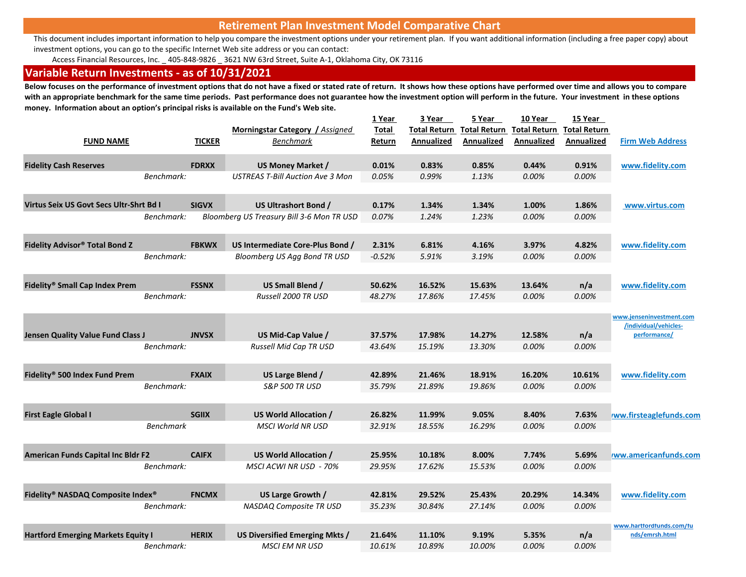# **Retirement Plan Investment Model Comparative Chart**

This document includes important information to help you compare the investment options under your retirement plan. If you want additional information (including a free paper copy) about investment options, you can go to the specific Internet Web site address or you can contact:

Access Financial Resources, Inc. \_ 405‐848‐9826 \_ 3621 NW 63rd Street, Suite A‐1, Oklahoma City, OK 73116

# **Variable Return Investments ‐ as of 10/31/2021**

**Below focuses on the performance of investment options that do not have a fixed or stated rate of return. It shows how these options have performed over time and allows you to compare**  with an appropriate benchmark for the same time periods. Past performance does not guarantee how the investment option will perform in the future. Your investment in these options **money. Information about an option's principal risks is available on the Fund's Web site.**

|                                           |                  |               |                                           | 1 Year   | 3 Year              | 5 Year              | 10 Year             | 15 Year             |                                                   |
|-------------------------------------------|------------------|---------------|-------------------------------------------|----------|---------------------|---------------------|---------------------|---------------------|---------------------------------------------------|
|                                           |                  |               | Morningstar Category / Assigned           | Total    | <b>Total Return</b> | <b>Total Return</b> | <b>Total Return</b> | <b>Total Return</b> |                                                   |
| <b>FUND NAME</b>                          |                  | <b>TICKER</b> | <b>Benchmark</b>                          | Return   | Annualized          | Annualized          | Annualized          | Annualized          | <b>Firm Web Address</b>                           |
| <b>Fidelity Cash Reserves</b>             |                  | <b>FDRXX</b>  | US Money Market /                         | 0.01%    | 0.83%               | 0.85%               | 0.44%               | 0.91%               | www.fidelity.com                                  |
|                                           | Benchmark:       |               | <b>USTREAS T-Bill Auction Ave 3 Mon</b>   | 0.05%    | 0.99%               | 1.13%               | 0.00%               | 0.00%               |                                                   |
| Virtus Seix US Govt Secs Ultr-Shrt Bd I   |                  | <b>SIGVX</b>  | US Ultrashort Bond /                      | 0.17%    | 1.34%               | 1.34%               | 1.00%               | 1.86%               | www.virtus.com                                    |
|                                           | Benchmark:       |               | Bloomberg US Treasury Bill 3-6 Mon TR USD | 0.07%    | 1.24%               | 1.23%               | 0.00%               | 0.00%               |                                                   |
| <b>Fidelity Advisor® Total Bond Z</b>     |                  | <b>FBKWX</b>  | US Intermediate Core-Plus Bond /          | 2.31%    | 6.81%               | 4.16%               | 3.97%               | 4.82%               | www.fidelity.com                                  |
|                                           | Benchmark:       |               | Bloomberg US Agg Bond TR USD              | $-0.52%$ | 5.91%               | 3.19%               | 0.00%               | 0.00%               |                                                   |
| Fidelity® Small Cap Index Prem            |                  | <b>FSSNX</b>  | US Small Blend /                          | 50.62%   | 16.52%              | 15.63%              | 13.64%              | n/a                 | www.fidelity.com                                  |
|                                           | Benchmark:       |               | Russell 2000 TR USD                       | 48.27%   | 17.86%              | 17.45%              | 0.00%               | 0.00%               |                                                   |
|                                           |                  |               |                                           |          |                     |                     |                     |                     | www.jenseninvestment.com<br>/individual/vehicles- |
| <b>Jensen Quality Value Fund Class J</b>  |                  | <b>JNVSX</b>  | US Mid-Cap Value /                        | 37.57%   | 17.98%              | 14.27%              | 12.58%              | n/a                 | performance/                                      |
|                                           | Benchmark:       |               | <b>Russell Mid Cap TR USD</b>             | 43.64%   | 15.19%              | 13.30%              | 0.00%               | 0.00%               |                                                   |
| Fidelity® 500 Index Fund Prem             |                  | <b>FXAIX</b>  | US Large Blend /                          | 42.89%   | 21.46%              | 18.91%              | 16.20%              | 10.61%              | www.fidelity.com                                  |
|                                           | Benchmark:       |               | S&P 500 TR USD                            | 35.79%   | 21.89%              | 19.86%              | 0.00%               | 0.00%               |                                                   |
| <b>First Eagle Global I</b>               |                  | <b>SGIIX</b>  | US World Allocation /                     | 26.82%   | 11.99%              | 9.05%               | 8.40%               | 7.63%               | ww.firsteaglefunds.com                            |
|                                           | <b>Benchmark</b> |               | <b>MSCI World NR USD</b>                  | 32.91%   | 18.55%              | 16.29%              | 0.00%               | 0.00%               |                                                   |
| <b>American Funds Capital Inc Bldr F2</b> |                  | <b>CAIFX</b>  | US World Allocation /                     | 25.95%   | 10.18%              | 8.00%               | 7.74%               | 5.69%               | ww.americanfunds.com                              |
|                                           | Benchmark:       |               | MSCI ACWI NR USD - 70%                    | 29.95%   | 17.62%              | 15.53%              | 0.00%               | 0.00%               |                                                   |
| Fidelity® NASDAQ Composite Index®         |                  | <b>FNCMX</b>  | US Large Growth /                         | 42.81%   | 29.52%              | 25.43%              | 20.29%              | 14.34%              | www.fidelity.com                                  |
|                                           | Benchmark:       |               | NASDAQ Composite TR USD                   | 35.23%   | 30.84%              | 27.14%              | 0.00%               | 0.00%               |                                                   |
| <b>Hartford Emerging Markets Equity I</b> |                  | <b>HERIX</b>  | US Diversified Emerging Mkts /            | 21.64%   | 11.10%              | 9.19%               | 5.35%               | n/a                 | www.hartfordfunds.com/fu<br>nds/emrsh.html        |
|                                           | Benchmark:       |               | <b>MSCI EM NR USD</b>                     | 10.61%   | 10.89%              | 10.00%              | 0.00%               | 0.00%               |                                                   |
|                                           |                  |               |                                           |          |                     |                     |                     |                     |                                                   |